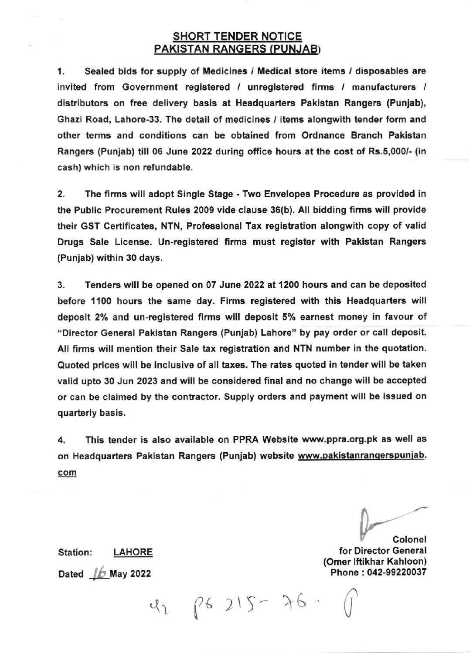## SHORT TENDER NOTICE PAKISTAN RANGERS (PUNJAB)

1. Sealed bids for supply of Medicines / Medical store items / disposables are invited from Government registered / unregistered firms / manufacturers / distributors on free delivery basis at Headquarters Pakistan Rangers (Punjab), Ghazi Road, Lahore-33. The detail of medicines / items alongwith tender form and other terms and conditions can be obtained from Ordnanco Branch Pakistan Rangers (Punjab) till 06 June 2022 during office hours at the cost of Rs.5,000/- (in cash) which is non refundable.

2. The firms will adopt Single Stage - Two Envelopes Procedure as provided in the Public Procurement Rules 2009 vide clause 36(b). All bidding firms will provide their GST Certificates, NTN, Professional Tax registration alongwith copy of valid Drugs Sale License. Un-registered firms must register with Paklstan Rangers (Punlab) within 30 days.

3. Tenders will be opened on 07 June 2022 at 1200 hours and can be deposited before 1100 hours the same day. Firms registered with this Headquarters will deposit 2% and un-rgglstered firms will deposit 5% earnest money in favour of "Director General Pakistan Rangers (Punjab) Lahore" by pay order or call deposit. All firms will mention their Sale tax registration and NTN number in the quotation. Quoted prices will be inclusive of all taxes. The rates quoted in tender will be taken valid upto 30 Jun 2023 and will be considered final and no change will be accepted or can be claimed by the contractor. Supply orders and payment will be issued on quarterly basis.

4. This tender is also available on PPRA Website www.ppra.org.pk as well as on Headquarters Pakistan Rangers (Punjab) website www.pakistanrangerspunjab. com

 $42$   $15 - 76$ 

 $\overline{a}$ U<sup>pper</sup>

اColone<br>Sor Director General (Omor lftikhar Kahloon) Phone : 042-99220037

Station: LAHORE Dated  $\n *16*$  May 2022